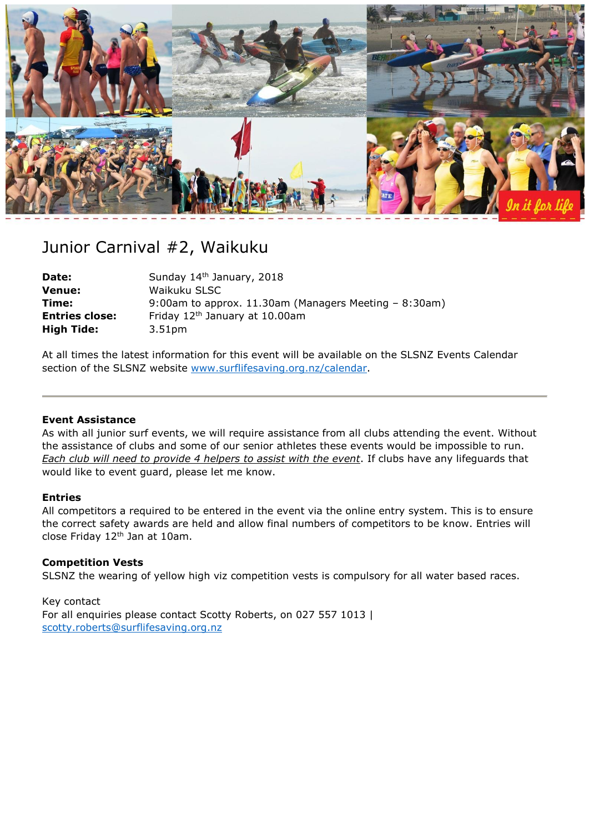

# Junior Carnival #2, Waikuku

| Date:                 | Sunday 14th January, 2018                                  |
|-----------------------|------------------------------------------------------------|
| <b>Venue:</b>         | Waikuku SLSC                                               |
| Time:                 | 9:00am to approx. $11.30$ am (Managers Meeting $-8:30$ am) |
| <b>Entries close:</b> | Friday 12 <sup>th</sup> January at 10.00am                 |
| <b>High Tide:</b>     | 3.51pm                                                     |

At all times the latest information for this event will be available on the SLSNZ Events Calendar section of the SLSNZ website [www.surflifesaving.org.nz/calendar.](http://www.surflifesaving.org.nz/calendar)

## **Event Assistance**

As with all junior surf events, we will require assistance from all clubs attending the event. Without the assistance of clubs and some of our senior athletes these events would be impossible to run. *Each club will need to provide 4 helpers to assist with the event*. If clubs have any lifeguards that would like to event guard, please let me know.

#### **Entries**

All competitors a required to be entered in the event via the online entry system. This is to ensure the correct safety awards are held and allow final numbers of competitors to be know. Entries will close Friday 12<sup>th</sup> Jan at 10am.

## **Competition Vests**

SLSNZ the wearing of yellow high viz competition vests is compulsory for all water based races.

Key contact For all enquiries please contact Scotty Roberts, on 027 557 1013 | [scotty.roberts@surflifesaving.org.nz](mailto:scotty.roberts@surflifesaving.org.nz)